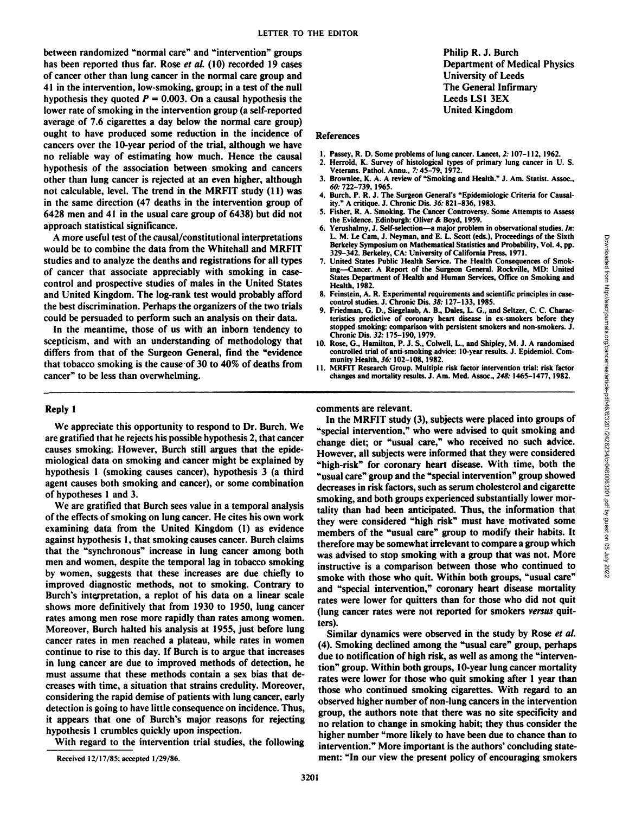between randomized "normal care" and "intervention" groups has been reported thus far. Rose *et al.* (10) recorded 19 cases of cancer other than lung cancer in the normal care group and 41 in the intervention, low-smoking, group; in a test of the null hypothesis they quoted  $P = 0.003$ . On a causal hypothesis the lower rate of smoking in the intervention group (a self-reported average of 7.6 cigarettes a day below the normal care group) ought to have produced some reduction in the incidence of cancers over the 10-year period of the trial, although we have no reliable way of estimating how much. Hence the causal hypothesis of the association between smoking and cancers other than lung cancer is rejected at an even higher, although not calculable, level. The trend in the MRFIT study (11) was in the same direction (47 deaths in the intervention group of 6428 men and 41 in the usual care group of 6438) but did not approach statistical significance.

**A more useful test ofthe causal/constitutional interpretations** would be to combine the data from the Whitehall and MRFIT studies and to analyze the deaths and registrations for all types of cancer that associate appreciably with smoking in case control and prospective studies of males in the United States and United Kingdom. The log-rank test would probably afford the best discrimination. Perhaps the organizers of the two trials could be persuaded to perform such an analysis on their data.

In the meantime, those of us with an inborn tendency to scepticism, and with an understanding of methodology that differs from that of the Surgeon General, find the "evidence that tobacco smoking is the cause of  $30$  to  $40\%$  of deaths from cancer" to be less than overwhelming.

Philip R. J. Burch Department of Medical Physics University of Leeds The General Infirmary Leeds LS1 3EX United Kingdom

## References

- 1. Passey, R. D. Some problems of lung cancer. Lancet, 2: 107-112, 1962.
- 2. Herrold, K. Survey of histological types of primary lung cancer in U. S. Veterans. Pathol. Annu., 7: 45-79, 1972.
- 3. Brownlee, K. A. A review of "Smoking and Health." J. Am. Statist. Assoc., *60: 722—739,1965.*
- 4. Burch, P. R. J. The Surgeon General's "Epidemiologic Criteria for Causal ity." A critique. J. Chronic Dis. 36: 821-836, 1983.
- 5. Fisher, R. A. Smoking. The Cancer Controversy. Some Attempts to Assess the Evidence. Edinburgh: Oliver & Boyd, 1959.
- 6. Yerushalmy, J. Self-selection—a major problem in observational studies. In: Berkeley Symposium on Mathematical Statistics and Probability, Vol. 4, pp. 329-342. Berkeley, CA: University of California Press, 1971.
- 7. United States Public Health Service. The Health Consequences of Smoking—Cancer.A Report of the Surgeon General. Rockville, MD: United States Department of Health and Human Services, Office on Smoking and Health,1982.
- 8. Feinstein, A. R. Experimental requirements and scientific principles in case control studies. J. Chronic Dis. 38: 127-133, 1985.
- 9. Friedman, G. D., Siegelaub, A. B., Dales, L. G., and Seltzer, C. C. Characteristics predictive of coronary heart disease in ex-smokers before they stopped smoking: comparison with persistent smokers and non-smokers. J. ChronicDis.32: 175—190, 1979.
- 10. Rose, G., Hamilton, P. J. S., Colwell, L., and Shipley, M. J. A randomised controlled trial of anti-smoking advice: 10-year results. J. Epidemiol. Community Health, 36: 102-108, 1982.
- 11. MRFIT Research Group. Multiple risk factor intervention trial: risk factor changes and mortality results. J. Am. Med. Assoc., 248: 1465-1477, 1982.

## Reply 1

We appreciate this opportunity to respond to Dr. Burch. We are gratified that he rejects his possible hypothesis 2, that cancer causes smoking. However, Burch still argues that the epide miological data on smoking and cancer might be explained by hypothesis 1 (smoking causes cancer), hypothesis 3 (a third agent causes both smoking and cancer), or some combination of hypotheses 1 and 3.

We are gratified that Burch sees value in a temporal analysis of the effects of smoking on lung cancer. He cites his own work examining data from the United Kingdom (1) as evidence against hypothesis 1, that smoking causes cancer. Burch claims that the "synchronous" increase in lung cancer among both men and women, despite the temporal lag in tobacco smoking by women, suggests that these increases are due chiefly to improved diagnostic methods, not to smoking. Contrary to Burch's interpretation, a replot of his data on a linear scale shows more definitively that from 1930 to 1950, lung cancer rates among men rose more rapidly than rates among women. Moreover, Burch halted his analysis at 1955, just before lung cancer rates in men reached a plateau, while rates in women continue to rise to this day. If Burch is to argue that increases in lung cancer are due to improved methods of detection, he must assume that these methods contain a sex bias that de creases with time, a situation that strains credulity. Moreover, considering the rapid demise of patients with lung cancer, early detection is going to have little consequence on incidence. Thus, it appears that one of Burch's major reasons for rejecting hypothesis 1 crumbles quickly upon inspection.

With regard to the intervention trial studies, the following

## comments are relevant.

L. M. Le Cam, J. Neyman, and E. L. Scott (eds.), Proceedings of the Sixthely Symposium on Mathematical Statistics and Probability, Vol. 4, pp.<br>
232–342. Berkeley Symposium on Mathematical Statistics and Probability, Vol. In the MRFIT study (3), subjects were placed into groups of "special intervention," who were advised to quit smoking and change diet; or "usual care," who received no such advice. However, all subjects were informed that they were considered "high-risk" for coronary heart disease. With time, both the "usual care" group and the "special intervention" group showed decreases in risk factors, such as serum cholesterol and cigarette smoking, and both groups experienced substantially lower mor tality than had been anticipated. Thus, the information that they were considered "high risk" must have motivated some members of the "usual care" group to modify their habits. It therefore may be somewhat irrelevant to compare a group which was advised to stop smoking with a group that was not. More instructive is a comparison between those who continued to smoke with those who quit. Within both groups, "usual care" and "special intervention," coronary heart disease mortality rates were lower for quitters than for those who did not quit (lung cancer rates were not reported for smokers versus quit ters).

Similar dynamics were observed in the study by Rose et al. (4). Smoking declined among the "usual care" group, perhaps due to notification of high risk, as well as among the "interven tion" group. Within both groups, 10-year lung cancer mortality rates were lower for those who quit smoking after 1 year than those who continued smoking cigarettes. With regard to an observed higher number of non-lung cancers in the intervention group, the authors note that there was no site specificity and no relation to change in smoking habit; they thus consider the higher number "more likely to have been due to chance than to intervention." More important is the authors' concluding statement: "In our view the present policy of encouraging smokers

**Received I2/1 7/85; accepted 1/29/86.**